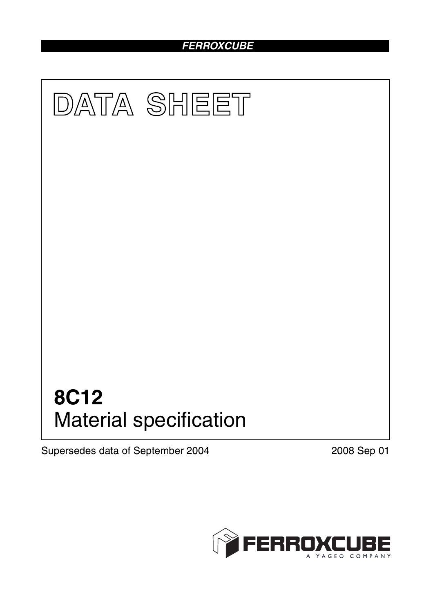# *FERROXCUBE*



Supersedes data of September 2004 2008 Sep 01

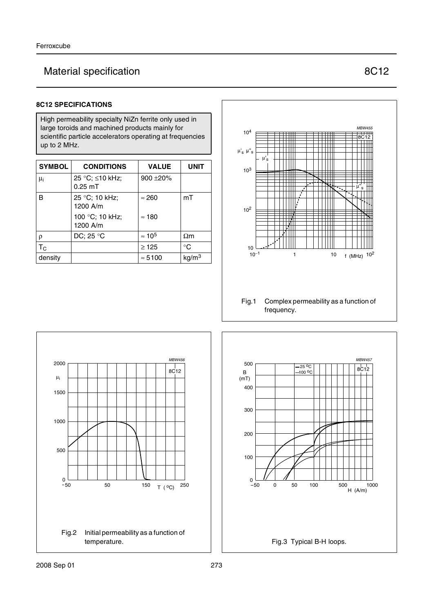# Material specification **8C12**

## **8C12 SPECIFICATIONS**

High permeability specialty NiZn ferrite only used in large toroids and machined products mainly for scientific particle accelerators operating at frequencies up to 2 MHz.

| <b>SYMBOL</b> | <b>CONDITIONS</b>            | <b>VALUE</b>   | <b>UNIT</b>       |
|---------------|------------------------------|----------------|-------------------|
| $\mu_{i}$     | 25 °C; ≤10 kHz;<br>$0.25$ mT | $900 + 20%$    |                   |
| B             | 25 °C; 10 kHz;<br>1200 A/m   | $\approx 260$  | mT                |
|               | 100 °C; 10 kHz;<br>1200 A/m  | $\approx$ 180  |                   |
| $\rho$        | DC; 25 $\degree$ C           | $\approx 10^5$ | $\Omega$ m        |
| $T_{\rm C}$   |                              | $\geq$ 125     | $^{\circ}C$       |
| density       |                              | $\approx 5100$ | kg/m <sup>3</sup> |